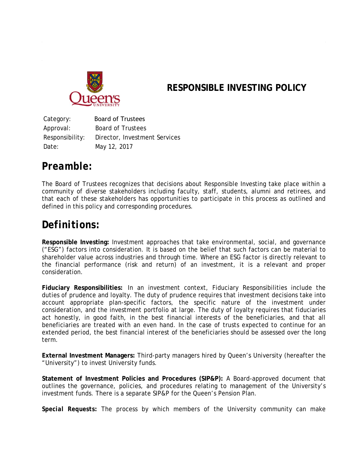

### **RESPONSIBLE INVESTING POLICY**

Category: Board of Trustees Approval: Board of Trustees Responsibility: Director, Investment Services Date: May 12, 2017

### *Preamble:*

The Board of Trustees recognizes that decisions about Responsible Investing take place within a community of diverse stakeholders including faculty, staff, students, alumni and retirees, and that each of these stakeholders has opportunities to participate in this process as outlined and defined in this policy and corresponding procedures.

### *Definitions:*

**Responsible Investing:** Investment approaches that take environmental, social, and governance ("ESG") factors into consideration. It is based on the belief that such factors can be material to shareholder value across industries and through time. Where an ESG factor is directly relevant to the financial performance (risk and return) of an investment, it is a relevant and proper consideration.

**Fiduciary Responsibilities:** In an investment context, Fiduciary Responsibilities include the duties of prudence and loyalty. The duty of prudence requires that investment decisions take into account appropriate plan-specific factors, the specific nature of the investment under consideration, and the investment portfolio at large. The duty of loyalty requires that fiduciaries act honestly, in good faith, in the best financial interests of the beneficiaries, and that all beneficiaries are treated with an even hand. In the case of trusts expected to continue for an extended period, the best financial interest of the beneficiaries should be assessed over the long term.

**External Investment Managers:** Third-party managers hired by Queen's University (hereafter the "University") to invest University funds.

**Statement of Investment Policies and Procedures (SIP&P):** A Board-approved document that outlines the governance, policies, and procedures relating to management of the University's investment funds. There is a separate SIP&P for the Queen's Pension Plan.

*Special Requests:* The process by which members of the University community can make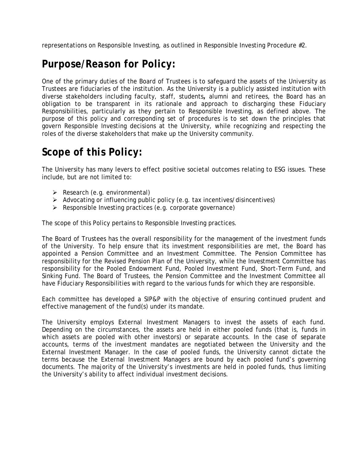representations on Responsible Investing, as outlined in Responsible Investing Procedure #2.

## *Purpose/Reason for Policy:*

One of the primary duties of the Board of Trustees is to safeguard the assets of the University as Trustees are fiduciaries of the institution. As the University is a publicly assisted institution with diverse stakeholders including faculty, staff, students*,* alumni and retirees, the Board has an obligation to be transparent in its rationale and approach to discharging these Fiduciary Responsibilities, particularly as they pertain to Responsible Investing, as defined above. The purpose of this policy and corresponding set of procedures is to set down the principles that govern Responsible Investing decisions at the University, while recognizing and respecting the roles of the diverse stakeholders that make up the University community.

# *Scope of this Policy:*

The University has many levers to effect positive societal outcomes relating to ESG issues. These include, but are not limited to:

- $\triangleright$  Research (e.g. environmental)
- $\triangleright$  Advocating or influencing public policy (e.g. tax incentives/disincentives)
- $\triangleright$  Responsible Investing practices (e.g. corporate governance)

The scope of this Policy pertains to Responsible Investing practices.

The Board of Trustees has the overall responsibility for the management of the investment funds of the University. To help ensure that its investment responsibilities are met, the Board has appointed a Pension Committee and an Investment Committee. The Pension Committee has responsibility for the Revised Pension Plan of the University, while the Investment Committee has responsibility for the Pooled Endowment Fund, Pooled Investment Fund, Short-Term Fund, and Sinking Fund. The Board of Trustees, the Pension Committee and the Investment Committee all have Fiduciary Responsibilities with regard to the various funds for which they are responsible.

Each committee has developed a SIP&P with the objective of ensuring continued prudent and effective management of the fund(s) under its mandate.

The University employs External Investment Managers to invest the assets of each fund. Depending on the circumstances, the assets are held in either pooled funds (that is, funds in which assets are pooled with other investors) or separate accounts. In the case of separate accounts, terms of the investment mandates are negotiated between the University and the External Investment Manager. In the case of pooled funds, the University cannot dictate the terms because the External Investment Managers are bound by each pooled fund's governing documents. The majority of the University's investments are held in pooled funds, thus limiting the University's ability to affect individual investment decisions.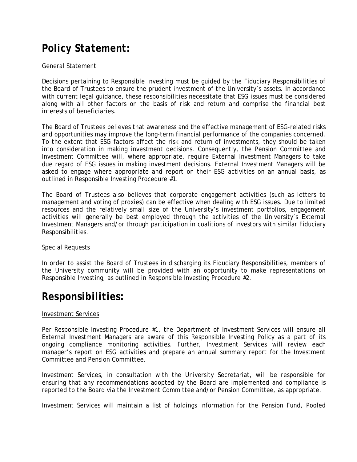# *Policy Statement:*

#### General Statement

Decisions pertaining to Responsible Investing must be guided by the Fiduciary Responsibilities of the Board of Trustees to ensure the prudent investment of the University's assets. In accordance with current legal guidance, these responsibilities necessitate that ESG issues must be considered along with all other factors on the basis of risk and return and comprise the financial best interests of beneficiaries.

The Board of Trustees believes that awareness and the effective management of ESG-related risks and opportunities may improve the long-term financial performance of the companies concerned. To the extent that ESG factors affect the risk and return of investments, they should be taken into consideration in making investment decisions. Consequently, the Pension Committee and Investment Committee will, where appropriate, require External Investment Managers to take due regard of ESG issues in making investment decisions. External Investment Managers will be asked to engage where appropriate and report on their ESG activities on an annual basis, as outlined in Responsible Investing Procedure #1.

The Board of Trustees also believes that corporate engagement activities (such as letters to management and voting of proxies) can be effective when dealing with ESG issues. Due to limited resources and the relatively small size of the University's investment portfolios, engagement activities will generally be best employed through the activities of the University's External Investment Managers and/or through participation in coalitions of investors with similar Fiduciary Responsibilities.

#### Special Requests

In order to assist the Board of Trustees in discharging its Fiduciary Responsibilities, members of the University community will be provided with an opportunity to make representations on Responsible Investing, as outlined in Responsible Investing Procedure #2.

### *Responsibilities:*

#### Investment Services

Per Responsible Investing Procedure #1, the Department of Investment Services will ensure all External Investment Managers are aware of this Responsible Investing Policy as a part of its ongoing compliance monitoring activities. Further, Investment Services will review each manager's report on ESG activities and prepare an annual summary report for the Investment Committee and Pension Committee.

Investment Services, in consultation with the University Secretariat, will be responsible for ensuring that any recommendations adopted by the Board are implemented and compliance is reported to the Board via the Investment Committee and/or Pension Committee, as appropriate.

Investment Services will maintain a list of holdings information for the Pension Fund, Pooled